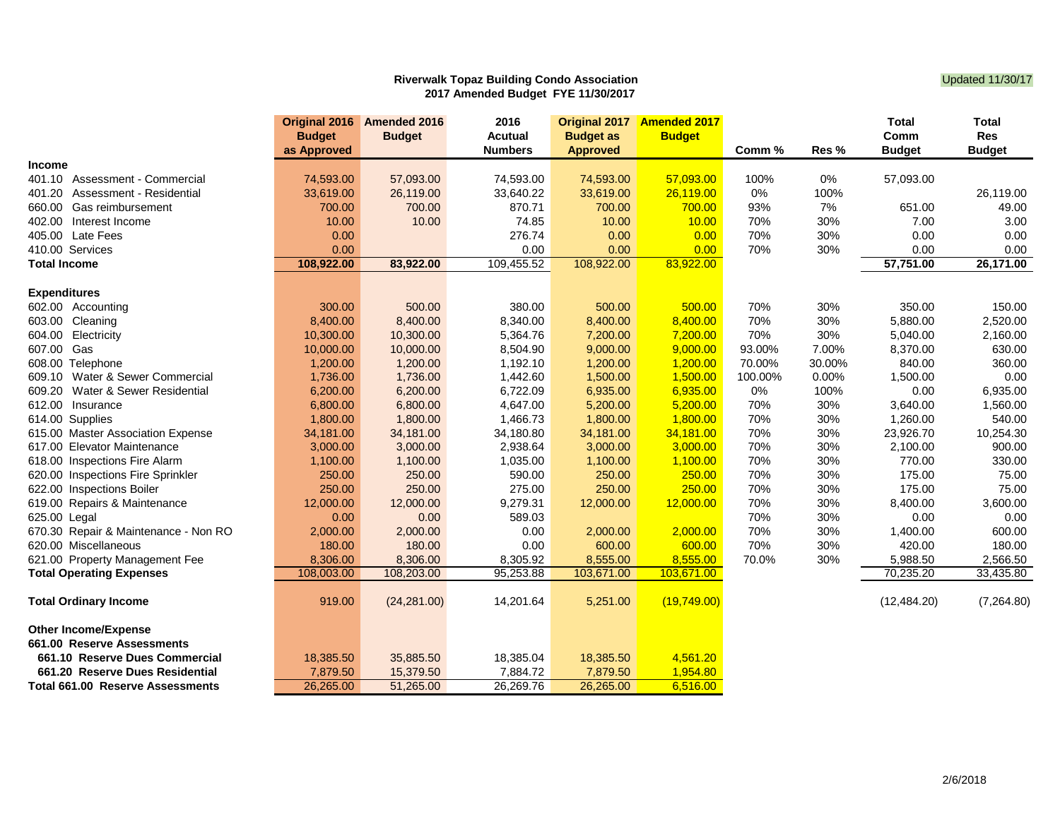## **Riverwalk Topaz Building Condo Association** Condomnities and Condomnities of the Updated 11/30/17 **2017 Amended Budget FYE 11/30/2017**

|                                      |               | Original 2016 Amended 2016 | 2016           | Original 2017    | <b>Amended 2017</b> |         |        | <b>Total</b>  | Total         |
|--------------------------------------|---------------|----------------------------|----------------|------------------|---------------------|---------|--------|---------------|---------------|
|                                      | <b>Budget</b> | <b>Budget</b>              | Acutual        | <b>Budget as</b> | <b>Budget</b>       |         |        | Comm          | <b>Res</b>    |
|                                      | as Approved   |                            | <b>Numbers</b> | <b>Approved</b>  |                     | Comm %  | Res %  | <b>Budget</b> | <b>Budget</b> |
| <b>Income</b>                        |               |                            |                |                  |                     |         |        |               |               |
| Assessment - Commercial<br>401.10    | 74,593.00     | 57,093.00                  | 74,593.00      | 74,593.00        | 57,093.00           | 100%    | 0%     | 57,093.00     |               |
| 401.20<br>Assessment - Residential   | 33,619.00     | 26,119.00                  | 33,640.22      | 33,619.00        | 26,119.00           | 0%      | 100%   |               | 26,119.00     |
| 660.00<br>Gas reimbursement          | 700.00        | 700.00                     | 870.71         | 700.00           | 700.00              | 93%     | 7%     | 651.00        | 49.00         |
| 402.00<br>Interest Income            | 10.00         | 10.00                      | 74.85          | 10.00            | 10.00               | 70%     | 30%    | 7.00          | 3.00          |
| 405.00 Late Fees                     | 0.00          |                            | 276.74         | 0.00             | 0.00                | 70%     | 30%    | 0.00          | 0.00          |
| 410.00 Services                      | 0.00          |                            | 0.00           | 0.00             | 0.00                | 70%     | 30%    | 0.00          | 0.00          |
| <b>Total Income</b>                  | 108,922.00    | 83,922.00                  | 109,455.52     | 108,922.00       | 83,922.00           |         |        | 57,751.00     | 26,171.00     |
|                                      |               |                            |                |                  |                     |         |        |               |               |
| <b>Expenditures</b>                  |               |                            |                |                  |                     |         |        |               |               |
| 602.00 Accounting                    | 300.00        | 500.00                     | 380.00         | 500.00           | 500.00              | 70%     | 30%    | 350.00        | 150.00        |
| 603.00<br>Cleaning                   | 8,400.00      | 8,400.00                   | 8,340.00       | 8,400.00         | 8,400.00            | 70%     | 30%    | 5,880.00      | 2,520.00      |
| Electricity<br>604.00                | 10,300.00     | 10,300.00                  | 5,364.76       | 7,200.00         | 7,200.00            | 70%     | 30%    | 5,040.00      | 2,160.00      |
| 607.00 Gas                           | 10,000.00     | 10,000.00                  | 8,504.90       | 9,000.00         | 9,000.00            | 93.00%  | 7.00%  | 8,370.00      | 630.00        |
| 608.00 Telephone                     | 1,200.00      | 1,200.00                   | 1,192.10       | 1,200.00         | 1,200.00            | 70.00%  | 30.00% | 840.00        | 360.00        |
| 609.10 Water & Sewer Commercial      | 1,736.00      | 1,736.00                   | 1,442.60       | 1,500.00         | 1,500.00            | 100.00% | 0.00%  | 1,500.00      | 0.00          |
| 609.20<br>Water & Sewer Residential  | 6,200.00      | 6,200.00                   | 6,722.09       | 6,935.00         | 6,935.00            | 0%      | 100%   | 0.00          | 6,935.00      |
| 612.00<br>Insurance                  | 6,800.00      | 6,800.00                   | 4,647.00       | 5,200.00         | 5,200.00            | 70%     | 30%    | 3,640.00      | 1,560.00      |
| 614.00 Supplies                      | 1,800.00      | 1,800.00                   | 1,466.73       | 1,800.00         | 1,800.00            | 70%     | 30%    | 1,260.00      | 540.00        |
| 615.00 Master Association Expense    | 34,181.00     | 34,181.00                  | 34,180.80      | 34,181.00        | 34,181.00           | 70%     | 30%    | 23,926.70     | 10,254.30     |
| 617.00 Elevator Maintenance          | 3,000.00      | 3,000.00                   | 2,938.64       | 3,000.00         | 3,000.00            | 70%     | 30%    | 2,100.00      | 900.00        |
| 618.00 Inspections Fire Alarm        | 1,100.00      | 1,100.00                   | 1,035.00       | 1,100.00         | 1,100.00            | 70%     | 30%    | 770.00        | 330.00        |
| 620.00 Inspections Fire Sprinkler    | 250.00        | 250.00                     | 590.00         | 250.00           | 250.00              | 70%     | 30%    | 175.00        | 75.00         |
| 622.00 Inspections Boiler            | 250.00        | 250.00                     | 275.00         | 250.00           | 250.00              | 70%     | 30%    | 175.00        | 75.00         |
| 619.00 Repairs & Maintenance         | 12,000.00     | 12,000.00                  | 9,279.31       | 12,000.00        | 12,000.00           | 70%     | 30%    | 8,400.00      | 3,600.00      |
| 625.00 Legal                         | 0.00          | 0.00                       | 589.03         |                  |                     | 70%     | 30%    | 0.00          | 0.00          |
| 670.30 Repair & Maintenance - Non RO | 2,000.00      | 2,000.00                   | 0.00           | 2,000.00         | 2,000.00            | 70%     | 30%    | 1,400.00      | 600.00        |
| 620.00 Miscellaneous                 | 180.00        | 180.00                     | 0.00           | 600.00           | 600.00              | 70%     | 30%    | 420.00        | 180.00        |
| 621.00 Property Management Fee       | 8,306.00      | 8,306.00                   | 8,305.92       | 8,555.00         | 8,555.00            | 70.0%   | 30%    | 5,988.50      | 2,566.50      |
| <b>Total Operating Expenses</b>      | 108,003.00    | 108,203.00                 | 95,253.88      | 103,671.00       | 103,671.00          |         |        | 70,235.20     | 33,435.80     |
|                                      |               |                            |                |                  |                     |         |        |               |               |
| <b>Total Ordinary Income</b>         | 919.00        | (24, 281.00)               | 14,201.64      | 5,251.00         | (19,749.00)         |         |        | (12, 484.20)  | (7,264.80)    |
| <b>Other Income/Expense</b>          |               |                            |                |                  |                     |         |        |               |               |
| 661.00 Reserve Assessments           |               |                            |                |                  |                     |         |        |               |               |
| 661.10 Reserve Dues Commercial       | 18,385.50     | 35,885.50                  | 18,385.04      | 18,385.50        | 4,561.20            |         |        |               |               |
| 661.20 Reserve Dues Residential      | 7,879.50      | 15,379.50                  | 7,884.72       | 7,879.50         | 1,954.80            |         |        |               |               |
| Total 661.00 Reserve Assessments     | 26,265.00     | 51,265.00                  | 26,269.76      | 26,265.00        | 6,516.00            |         |        |               |               |